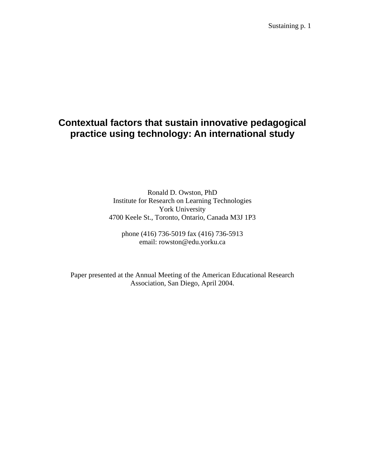Sustaining p. 1

# **Contextual factors that sustain innovative pedagogical practice using technology: An international study**

Ronald D. Owston, PhD Institute for Research on Learning Technologies York University 4700 Keele St., Toronto, Ontario, Canada M3J 1P3

phone (416) 736-5019 fax (416) 736-5913 email: rowston@edu.yorku.ca

Paper presented at the Annual Meeting of the American Educational Research Association, San Diego, April 2004.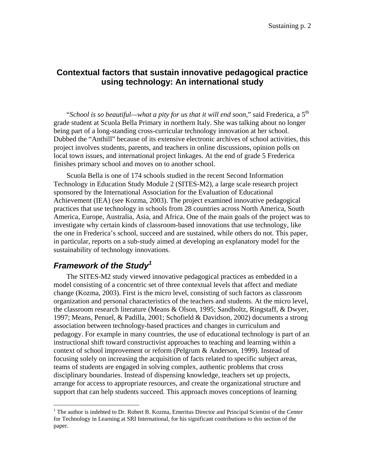# **Contextual factors that sustain innovative pedagogical practice using technology: An international study**

"*School is so beautiful—what a pity for us that it will end soon*," said Frederica, a 5th grade student at Scuola Bella Primary in northern Italy. She was talking about no longer being part of a long-standing cross-curricular technology innovation at her school. Dubbed the "Anthill" because of its extensive electronic archives of school activities, this project involves students, parents, and teachers in online discussions, opinion polls on local town issues, and international project linkages. At the end of grade 5 Frederica finishes primary school and moves on to another school.

Scuola Bella is one of 174 schools studied in the recent Second Information Technology in Education Study Module 2 (SITES-M2), a large scale research project sponsored by the International Association for the Evaluation of Educational Achievement (IEA) (see Kozma, 2003). The project examined innovative pedagogical practices that use technology in schools from 28 countries across North America, South America, Europe, Australia, Asia, and Africa. One of the main goals of the project was to investigate why certain kinds of classroom-based innovations that use technology, like the one in Frederica's school, succeed and are sustained, while others do not. This paper, in particular, reports on a sub-study aimed at developing an explanatory model for the sustainability of technology innovations.

# *Framework of the Study[1](#page-1-0)*

1

The SITES-M2 study viewed innovative pedagogical practices as embedded in a model consisting of a concentric set of three contextual levels that affect and mediate change (Kozma, 2003). First is the micro level, consisting of such factors as classroom organization and personal characteristics of the teachers and students. At the micro level, the classroom research literature (Means & Olson, 1995; Sandholtz, Ringstaff, & Dwyer, 1997; Means, Penuel, & Padilla, 2001; Schofield & Davidson, 2002) documents a strong association between technology-based practices and changes in curriculum and pedagogy. For example in many countries, the use of educational technology is part of an instructional shift toward constructivist approaches to teaching and learning within a context of school improvement or reform (Pelgrum & Anderson, 1999). Instead of focusing solely on increasing the acquisition of facts related to specific subject areas, teams of students are engaged in solving complex, authentic problems that cross disciplinary boundaries. Instead of dispensing knowledge, teachers set up projects, arrange for access to appropriate resources, and create the organizational structure and support that can help students succeed. This approach moves conceptions of learning

<span id="page-1-0"></span><sup>&</sup>lt;sup>1</sup> The author is indebted to Dr. Robert B. Kozma, Emeritus Director and Principal Scientist of the Center for Technology in Learning at SRI International, for his significant contributions to this section of the paper.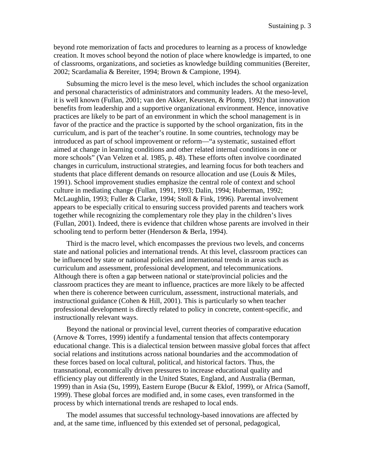beyond rote memorization of facts and procedures to learning as a process of knowledge creation. It moves school beyond the notion of place where knowledge is imparted, to one of classrooms, organizations, and societies as knowledge building communities (Bereiter, 2002; Scardamalia & Bereiter, 1994; Brown & Campione, 1994).

Subsuming the micro level is the meso level, which includes the school organization and personal characteristics of administrators and community leaders. At the meso-level, it is well known (Fullan, 2001; van den Akker, Keursten, & Plomp, 1992) that innovation benefits from leadership and a supportive organizational environment. Hence, innovative practices are likely to be part of an environment in which the school management is in favor of the practice and the practice is supported by the school organization, fits in the curriculum, and is part of the teacher's routine. In some countries, technology may be introduced as part of school improvement or reform—"a systematic, sustained effort aimed at change in learning conditions and other related internal conditions in one or more schools" (Van Velzen et al. 1985, p. 48). These efforts often involve coordinated changes in curriculum, instructional strategies, and learning focus for both teachers and students that place different demands on resource allocation and use (Louis & Miles, 1991). School improvement studies emphasize the central role of context and school culture in mediating change (Fullan, 1991, 1993; Dalin, 1994; Huberman, 1992; McLaughlin, 1993; Fuller & Clarke, 1994; Stoll & Fink, 1996). Parental involvement appears to be especially critical to ensuring success provided parents and teachers work together while recognizing the complementary role they play in the children's lives (Fullan, 2001). Indeed, there is evidence that children whose parents are involved in their schooling tend to perform better (Henderson & Berla, 1994).

Third is the macro level, which encompasses the previous two levels, and concerns state and national policies and international trends. At this level, classroom practices can be influenced by state or national policies and international trends in areas such as curriculum and assessment, professional development, and telecommunications. Although there is often a gap between national or state/provincial policies and the classroom practices they are meant to influence, practices are more likely to be affected when there is coherence between curriculum, assessment, instructional materials, and instructional guidance (Cohen & Hill, 2001). This is particularly so when teacher professional development is directly related to policy in concrete, content-specific, and instructionally relevant ways.

Beyond the national or provincial level, current theories of comparative education (Arnove & Torres, 1999) identify a fundamental tension that affects contemporary educational change. This is a dialectical tension between massive global forces that affect social relations and institutions across national boundaries and the accommodation of these forces based on local cultural, political, and historical factors. Thus, the transnational, economically driven pressures to increase educational quality and efficiency play out differently in the United States, England, and Australia (Berman, 1999) than in Asia (Su, 1999), Eastern Europe (Bucur & Eklof, 1999), or Africa (Samoff, 1999). These global forces are modified and, in some cases, even transformed in the process by which international trends are reshaped to local ends.

The model assumes that successful technology-based innovations are affected by and, at the same time, influenced by this extended set of personal, pedagogical,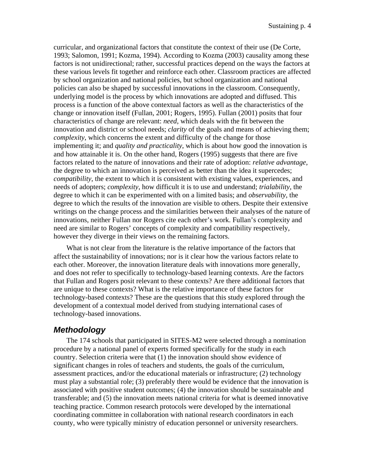curricular, and organizational factors that constitute the context of their use (De Corte, 1993; Salomon, 1991; Kozma, 1994). According to Kozma (2003) causality among these factors is not unidirectional; rather, successful practices depend on the ways the factors at these various levels fit together and reinforce each other. Classroom practices are affected by school organization and national policies, but school organization and national policies can also be shaped by successful innovations in the classroom. Consequently, underlying model is the process by which innovations are adopted and diffused. This process is a function of the above contextual factors as well as the characteristics of the change or innovation itself (Fullan, 2001; Rogers, 1995). Fullan (2001) posits that four characteristics of change are relevant: *need*, which deals with the fit between the innovation and district or school needs; *clarity* of the goals and means of achieving them; *complexity*, which concerns the extent and difficulty of the change for those implementing it; and *quality and practicality*, which is about how good the innovation is and how attainable it is. On the other hand, Rogers (1995) suggests that there are five factors related to the nature of innovations and their rate of adoption: *relative advantage*, the degree to which an innovation is perceived as better than the idea it supercedes; *compatibility*, the extent to which it is consistent with existing values, experiences, and needs of adopters; *complexity*, how difficult it is to use and understand; *trialability*, the degree to which it can be experimented with on a limited basis; and *observability*, the degree to which the results of the innovation are visible to others. Despite their extensive writings on the change process and the similarities between their analyses of the nature of innovations, neither Fullan nor Rogers cite each other's work. Fullan's complexity and need are similar to Rogers' concepts of complexity and compatibility respectively, however they diverge in their views on the remaining factors.

What is not clear from the literature is the relative importance of the factors that affect the sustainability of innovations; nor is it clear how the various factors relate to each other. Moreover, the innovation literature deals with innovations more generally, and does not refer to specifically to technology-based learning contexts. Are the factors that Fullan and Rogers posit relevant to these contexts? Are there additional factors that are unique to these contexts? What is the relative importance of these factors for technology-based contexts? These are the questions that this study explored through the development of a contextual model derived from studying international cases of technology-based innovations.

# *Methodology*

The 174 schools that participated in SITES-M2 were selected through a nomination procedure by a national panel of experts formed specifically for the study in each country. Selection criteria were that (1) the innovation should show evidence of significant changes in roles of teachers and students, the goals of the curriculum, assessment practices, and/or the educational materials or infrastructure; (2) technology must play a substantial role; (3) preferably there would be evidence that the innovation is associated with positive student outcomes; (4) the innovation should be sustainable and transferable; and (5) the innovation meets national criteria for what is deemed innovative teaching practice. Common research protocols were developed by the international coordinating committee in collaboration with national research coordinators in each county, who were typically ministry of education personnel or university researchers.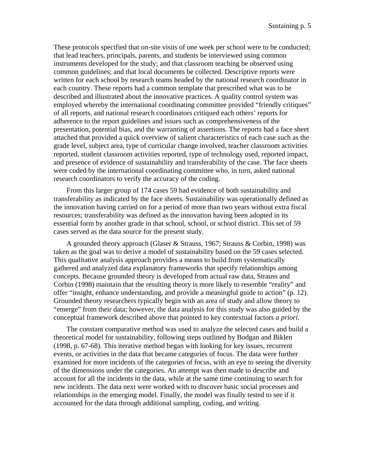These protocols specified that on-site visits of one week per school were to be conducted; that lead teachers, principals, parents, and students be interviewed using common instruments developed for the study; and that classroom teaching be observed using common guidelines; and that local documents be collected. Descriptive reports were written for each school by research teams headed by the national research coordinator in each country. These reports had a common template that prescribed what was to be described and illustrated about the innovative practices. A quality control system was employed whereby the international coordinating committee provided "friendly critiques" of all reports, and national research coordinators critiqued each others' reports for adherence to the report guidelines and issues such as comprehensiveness of the presentation, potential bias, and the warranting of assertions. The reports had a face sheet attached that provided a quick overview of salient characteristics of each case such as the grade level, subject area, type of curricular change involved, teacher classroom activities reported, student classroom activities reported, type of technology used, reported impact, and presence of evidence of sustainability and transferability of the case. The face sheets were coded by the international coordinating committee who, in turn, asked national research coordinators to verify the accuracy of the coding.

From this larger group of 174 cases 59 had evidence of both sustainability and transferability as indicated by the face sheets. Sustainability was operationally defined as the innovation having carried on for a period of more than two years without extra fiscal resources; transferability was defined as the innovation having been adopted in its essential form by another grade in that school, school, or school district. This set of 59 cases served as the data source for the present study.

A grounded theory approach (Glaser & Strauss, 1967; Strauss & Corbin, 1998) was taken as the goal was to derive a model of sustainability based on the 59 cases selected. This qualitative analysis approach provides a means to build from systematically gathered and analyzed data explanatory frameworks that specify relationships among concepts. Because grounded theory is developed from actual raw data, Strauss and Corbin (1998) maintain that the resulting theory is more likely to resemble "reality" and offer "insight, enhance understanding, and provide a meaningful guide to action" (p. 12). Grounded theory researchers typically begin with an area of study and allow theory to "emerge" from their data; however, the data analysis for this study was also guided by the conceptual framework described above that pointed to key contextual factors *a priori*.

The constant comparative method was used to analyze the selected cases and build a theoretical model for sustainability, following steps outlined by Bodgan and Biklen (1998, p. 67-68). This iterative method began with looking for key issues, recurrent events, or activities in the data that became categories of focus. The data were further examined for more incidents of the categories of focus, with an eye to seeing the diversity of the dimensions under the categories. An attempt was then made to describe and account for all the incidents in the data, while at the same time continuing to search for new incidents. The data next were worked with to discover basic social processes and relationships in the emerging model. Finally, the model was finally tested to see if it accounted for the data through additional sampling, coding, and writing.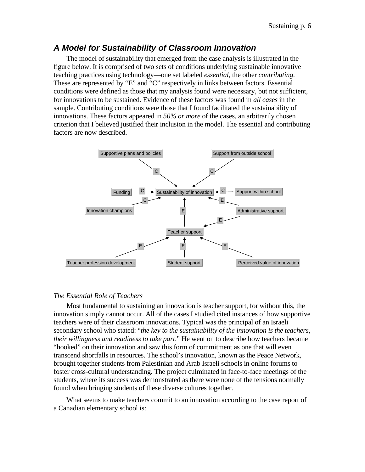### *A Model for Sustainability of Classroom Innovation*

The model of sustainability that emerged from the case analysis is illustrated in the figure below. It is comprised of two sets of conditions underlying sustainable innovative teaching practices using technology—one set labeled *essential*, the other *contributing*. These are represented by "E" and "C" respectively in links between factors. Essential conditions were defined as those that my analysis found were necessary, but not sufficient, for innovations to be sustained. Evidence of these factors was found in *all cases* in the sample. Contributing conditions were those that I found facilitated the sustainability of innovations. These factors appeared in *50% or more* of the cases, an arbitrarily chosen criterion that I believed justified their inclusion in the model. The essential and contributing factors are now described.



#### *The Essential Role of Teachers*

Most fundamental to sustaining an innovation is teacher support, for without this, the innovation simply cannot occur. All of the cases I studied cited instances of how supportive teachers were of their classroom innovations. Typical was the principal of an Israeli secondary school who stated: "*the key to the sustainability of the innovation is the teachers, their willingness and readiness to take part*." He went on to describe how teachers became "hooked" on their innovation and saw this form of commitment as one that will even transcend shortfalls in resources. The school's innovation, known as the Peace Network, brought together students from Palestinian and Arab Israeli schools in online forums to foster cross-cultural understanding. The project culminated in face-to-face meetings of the students, where its success was demonstrated as there were none of the tensions normally found when bringing students of these diverse cultures together.

What seems to make teachers commit to an innovation according to the case report of a Canadian elementary school is: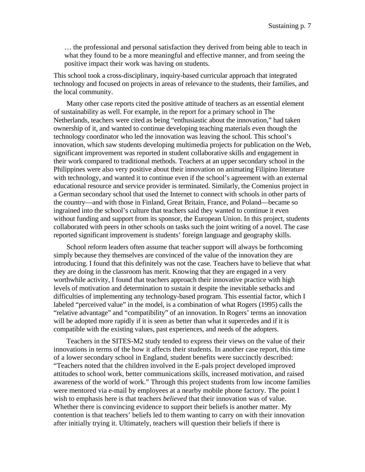… the professional and personal satisfaction they derived from being able to teach in what they found to be a more meaningful and effective manner, and from seeing the positive impact their work was having on students.

This school took a cross-disciplinary, inquiry-based curricular approach that integrated technology and focused on projects in areas of relevance to the students, their families, and the local community.

Many other case reports cited the positive attitude of teachers as an essential element of sustainability as well. For example, in the report for a primary school in The Netherlands, teachers were cited as being "enthusiastic about the innovation," had taken ownership of it, and wanted to continue developing teaching materials even though the technology coordinator who led the innovation was leaving the school. This school's innovation, which saw students developing multimedia projects for publication on the Web, significant improvement was reported in student collaborative skills and engagement in their work compared to traditional methods. Teachers at an upper secondary school in the Philippines were also very positive about their innovation on animating Filipino literature with technology, and wanted it to continue even if the school's agreement with an external educational resource and service provider is terminated. Similarly, the Comenius project in a German secondary school that used the Internet to connect with schools in other parts of the country—and with those in Finland, Great Britain, France, and Poland—became so ingrained into the school's culture that teachers said they wanted to continue it even without funding and support from its sponsor, the European Union. In this project, students collaborated with peers in other schools on tasks such the joint writing of a novel. The case reported significant improvement is students' foreign language and geography skills.

School reform leaders often assume that teacher support will always be forthcoming simply because they themselves are convinced of the value of the innovation they are introducing. I found that this definitely was not the case. Teachers have to believe that what they are doing in the classroom has merit. Knowing that they are engaged in a very worthwhile activity, I found that teachers approach their innovative practice with high levels of motivation and determination to sustain it despite the inevitable setbacks and difficulties of implementing any technology-based program. This essential factor, which I labeled "perceived value" in the model, is a combination of what Rogers (1995) calls the "relative advantage" and "compatibility" of an innovation. In Rogers' terms an innovation will be adopted more rapidly if it is seen as better than what it supercedes and if it is compatible with the existing values, past experiences, and needs of the adopters.

Teachers in the SITES-M2 study tended to express their views on the value of their innovations in terms of the how it affects their students. In another case report, this time of a lower secondary school in England, student benefits were succinctly described: "Teachers noted that the children involved in the E-pals project developed improved attitudes to school work, better communications skills, increased motivation, and raised awareness of the world of work." Through this project students from low income families were mentored via e-mail by employees at a nearby mobile phone factory. The point I wish to emphasis here is that teachers *believed* that their innovation was of value. Whether there is convincing evidence to support their beliefs is another matter. My contention is that teachers' beliefs led to them wanting to carry on with their innovation after initially trying it. Ultimately, teachers will question their beliefs if there is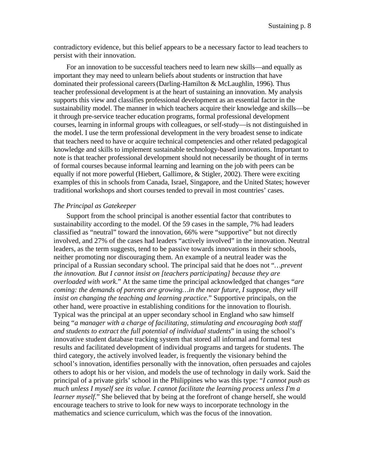contradictory evidence, but this belief appears to be a necessary factor to lead teachers to persist with their innovation.

For an innovation to be successful teachers need to learn new skills—and equally as important they may need to unlearn beliefs about students or instruction that have dominated their professional careers(Darling-Hamilton & McLaughlin, 1996). Thus teacher professional development is at the heart of sustaining an innovation. My analysis supports this view and classifies professional development as an essential factor in the sustainability model. The manner in which teachers acquire their knowledge and skills—be it through pre-service teacher education programs, formal professional development courses, learning in informal groups with colleagues, or self-study—is not distinguished in the model. I use the term professional development in the very broadest sense to indicate that teachers need to have or acquire technical competencies and other related pedagogical knowledge and skills to implement sustainable technology-based innovations. Important to note is that teacher professional development should not necessarily be thought of in terms of formal courses because informal learning and learning on the job with peers can be equally if not more powerful (Hiebert, Gallimore, & Stigler, 2002). There were exciting examples of this in schools from Canada, Israel, Singapore, and the United States; however traditional workshops and short courses tended to prevail in most countries' cases.

#### *The Principal as Gatekeeper*

Support from the school principal is another essential factor that contributes to sustainability according to the model. Of the 59 cases in the sample, 7% had leaders classified as "neutral" toward the innovation, 66% were "supportive" but not directly involved, and 27% of the cases had leaders "actively involved" in the innovation. Neutral leaders, as the term suggests, tend to be passive towards innovations in their schools, neither promoting nor discouraging them. An example of a neutral leader was the principal of a Russian secondary school. The principal said that he does not "*…prevent the innovation. But I cannot insist on [teachers participating] because they are overloaded with work.*" At the same time the principal acknowledged that changes "*are coming: the demands of parents are growing... in the near future, I suppose, they will insist on changing the teaching and learning practice.*" Supportive principals, on the other hand, were proactive in establishing conditions for the innovation to flourish. Typical was the principal at an upper secondary school in England who saw himself being "*a manager with a charge of facilitating, stimulating and encouraging both staff and students to extract the full potential of individual students*" in using the school's innovative student database tracking system that stored all informal and formal test results and facilitated development of individual programs and targets for students. The third category, the actively involved leader, is frequently the visionary behind the school's innovation, identifies personally with the innovation, often persuades and cajoles others to adopt his or her vision, and models the use of technology in daily work. Said the principal of a private girls' school in the Philippines who was this type: "*I cannot push as much unless I myself see its value. I cannot facilitate the learning process unless I'm a learner myself.*" She believed that by being at the forefront of change herself, she would encourage teachers to strive to look for new ways to incorporate technology in the mathematics and science curriculum, which was the focus of the innovation.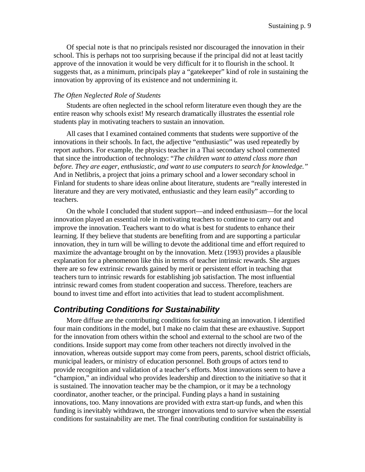Of special note is that no principals resisted nor discouraged the innovation in their school. This is perhaps not too surprising because if the principal did not at least tacitly approve of the innovation it would be very difficult for it to flourish in the school. It suggests that, as a minimum, principals play a "gatekeeper" kind of role in sustaining the innovation by approving of its existence and not undermining it.

#### *The Often Neglected Role of Students*

Students are often neglected in the school reform literature even though they are the entire reason why schools exist! My research dramatically illustrates the essential role students play in motivating teachers to sustain an innovation.

All cases that I examined contained comments that students were supportive of the innovations in their schools. In fact, the adjective "enthusiastic" was used repeatedly by report authors. For example, the physics teacher in a Thai secondary school commented that since the introduction of technology: "*The children want to attend class more than before. They are eager, enthusiastic, and want to use computers to search for knowledge."*  And in Netlibris, a project that joins a primary school and a lower secondary school in Finland for students to share ideas online about literature, students are "really interested in literature and they are very motivated, enthusiastic and they learn easily" according to teachers.

On the whole I concluded that student support—and indeed enthusiasm—for the local innovation played an essential role in motivating teachers to continue to carry out and improve the innovation. Teachers want to do what is best for students to enhance their learning. If they believe that students are benefiting from and are supporting a particular innovation, they in turn will be willing to devote the additional time and effort required to maximize the advantage brought on by the innovation. Metz (1993) provides a plausible explanation for a phenomenon like this in terms of teacher intrinsic rewards. She argues there are so few extrinsic rewards gained by merit or persistent effort in teaching that teachers turn to intrinsic rewards for establishing job satisfaction. The most influential intrinsic reward comes from student cooperation and success. Therefore, teachers are bound to invest time and effort into activities that lead to student accomplishment.

## *Contributing Conditions for Sustainability*

More diffuse are the contributing conditions for sustaining an innovation. I identified four main conditions in the model, but I make no claim that these are exhaustive. Support for the innovation from others within the school and external to the school are two of the conditions. Inside support may come from other teachers not directly involved in the innovation, whereas outside support may come from peers, parents, school district officials, municipal leaders, or ministry of education personnel. Both groups of actors tend to provide recognition and validation of a teacher's efforts. Most innovations seem to have a "champion," an individual who provides leadership and direction to the initiative so that it is sustained. The innovation teacher may be the champion, or it may be a technology coordinator, another teacher, or the principal. Funding plays a hand in sustaining innovations, too. Many innovations are provided with extra start-up funds, and when this funding is inevitably withdrawn, the stronger innovations tend to survive when the essential conditions for sustainability are met. The final contributing condition for sustainability is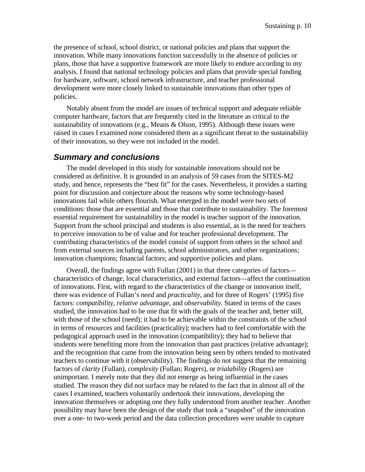the presence of school, school district, or national policies and plans that support the innovation. While many innovations function successfully in the absence of policies or plans, those that have a supportive framework are more likely to endure according to my analysis. I found that national technology policies and plans that provide special funding for hardware, software, school network infrastructure, and teacher professional development were more closely linked to sustainable innovations than other types of policies.

Notably absent from the model are issues of technical support and adequate reliable computer hardware, factors that are frequently cited in the literature as critical to the sustainability of innovations (e.g., Means & Olson, 1995). Although these issues were raised in cases I examined none considered them as a significant threat to the sustainability of their innovation, so they were not included in the model.

## *Summary and conclusions*

The model developed in this study for sustainable innovations should not be considered as definitive. It is grounded in an analysis of 59 cases from the SITES-M2 study, and hence, represents the "best fit" for the cases. Nevertheless, it provides a starting point for discussion and conjecture about the reasons why some technology-based innovations fail while others flourish. What emerged in the model were two sets of conditions: those that are essential and those that contribute to sustainability. The foremost essential requirement for sustainability in the model is teacher support of the innovation. Support from the school principal and students is also essential, as is the need for teachers to perceive innovation to be of value and for teacher professional development. The contributing characteristics of the model consist of support from others in the school and from external sources including parents, school administrators, and other organizations; innovation champions; financial factors; and supportive policies and plans.

Overall, the findings agree with Fullan (2001) in that three categories of factors characteristics of change, local characteristics, and external factors—affect the continuation of innovations. First, with regard to the characteristics of the change or innovation itself, there was evidence of Fullan's *need* and *practicality*, and for three of Rogers' (1995) five factors: *compatibility, relative advantage,* and *observability*. Stated in terms of the cases studied, the innovation had to be one that fit with the goals of the teacher and, better still, with those of the school (need); it had to be achievable within the constraints of the school in terms of resources and facilities (practicality); teachers had to feel comfortable with the pedagogical approach used in the innovation (compatibility); they had to believe that students were benefiting more from the innovation than past practices (relative advantage); and the recognition that came from the innovation being seen by others tended to motivated teachers to continue with it (observability). The findings do not suggest that the remaining factors of *clarity* (Fullan), *complexity* (Fullan; Rogers), or *trialability* (Rogers) are unimportant. I merely note that they did not emerge as being influential in the cases studied. The reason they did not surface may be related to the fact that in almost all of the cases I examined, teachers voluntarily undertook their innovations, developing the innovation themselves or adopting one they fully understood from another teacher. Another possibility may have been the design of the study that took a "snapshot" of the innovation over a one- to two-week period and the data collection procedures were unable to capture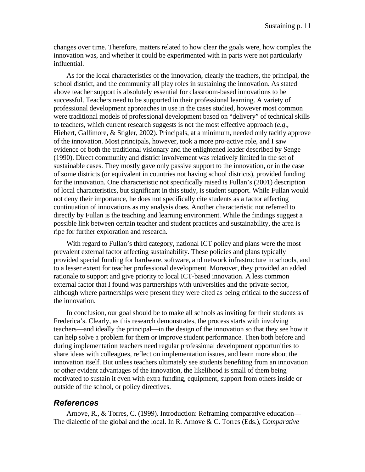changes over time. Therefore, matters related to how clear the goals were, how complex the innovation was, and whether it could be experimented with in parts were not particularly influential.

As for the local characteristics of the innovation, clearly the teachers, the principal, the school district, and the community all play roles in sustaining the innovation. As stated above teacher support is absolutely essential for classroom-based innovations to be successful. Teachers need to be supported in their professional learning. A variety of professional development approaches in use in the cases studied, however most common were traditional models of professional development based on "delivery" of technical skills to teachers, which current research suggests is not the most effective approach (*e.g*., Hiebert, Gallimore, & Stigler, 2002). Principals, at a minimum, needed only tacitly approve of the innovation. Most principals, however, took a more pro-active role, and I saw evidence of both the traditional visionary and the enlightened leader described by Senge (1990). Direct community and district involvement was relatively limited in the set of sustainable cases. They mostly gave only passive support to the innovation, or in the case of some districts (or equivalent in countries not having school districts), provided funding for the innovation. One characteristic not specifically raised is Fullan's (2001) description of local characteristics, but significant in this study, is student support. While Fullan would not deny their importance, he does not specifically cite students as a factor affecting continuation of innovations as my analysis does. Another characteristic not referred to directly by Fullan is the teaching and learning environment. While the findings suggest a possible link between certain teacher and student practices and sustainability, the area is ripe for further exploration and research.

With regard to Fullan's third category, national ICT policy and plans were the most prevalent external factor affecting sustainability. These policies and plans typically provided special funding for hardware, software, and network infrastructure in schools, and to a lesser extent for teacher professional development. Moreover, they provided an added rationale to support and give priority to local ICT-based innovation. A less common external factor that I found was partnerships with universities and the private sector, although where partnerships were present they were cited as being critical to the success of the innovation.

In conclusion, our goal should be to make all schools as inviting for their students as Frederica's. Clearly, as this research demonstrates, the process starts with involving teachers—and ideally the principal—in the design of the innovation so that they see how it can help solve a problem for them or improve student performance. Then both before and during implementation teachers need regular professional development opportunities to share ideas with colleagues, reflect on implementation issues, and learn more about the innovation itself. But unless teachers ultimately see students benefiting from an innovation or other evident advantages of the innovation, the likelihood is small of them being motivated to sustain it even with extra funding, equipment, support from others inside or outside of the school, or policy directives.

### *References*

Arnove, R., & Torres, C. (1999). Introduction: Reframing comparative education— The dialectic of the global and the local. In R. Arnove & C. Torres (Eds.), C*omparative*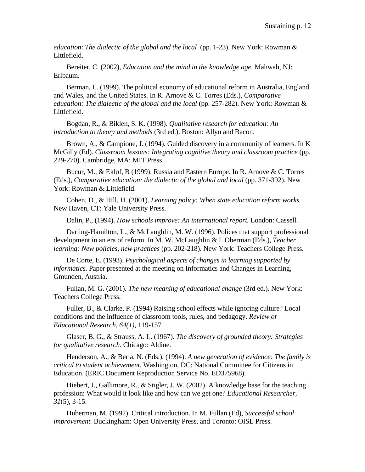*education*: *The dialectic of the global and the local* (pp. 1-23). New York: Rowman & Littlefield.

Bereiter, C. (2002), *Education and the mind in the knowledge age.* Mahwah, NJ: Erlbaum.

Berman, E. (1999). The political economy of educational reform in Australia, England and Wales, and the United States. In R. Arnove & C. Torres (Eds.), *Comparative education: The dialectic of the global and the local* (pp. 257-282). New York: Rowman & Littlefield.

Bogdan, R., & Biklen, S. K. (1998). *Qualitative research for education: An introduction to theory and methods* (3rd ed.). Boston: Allyn and Bacon.

Brown, A., & Campione, J. (1994). Guided discovery in a community of learners. In K McGilly (Ed). *Classroom lessons: Integrating cognitive theory and classroom practice* (pp. 229-270). Cambridge, MA: MIT Press.

Bucur, M., & Eklof, B (1999). Russia and Eastern Europe. In R. Arnove & C. Torres (Eds.), *Comparative education: the dialectic of the global and local* (pp. 371-392). New York: Rowman & Littlefield.

Cohen, D., & Hill, H. (2001). *Learning policy: When state education reform works.*  New Haven, CT: Yale University Press.

Dalin, P., (1994). *How schools improve: An international report.* London: Cassell.

Darling-Hamilton, L., & McLaughlin, M. W. (1996). Polices that support professional development in an era of reform. In M. W. McLaughlin & I. Oberman (Eds.), *Teacher learning: New policies, new practices* (pp. 202-218). New York: Teachers College Press.

De Corte, E. (1993). *Psychological aspects of changes in learning supported by informatics.* Paper presented at the meeting on Informatics and Changes in Learning, Gmunden, Austria.

Fullan, M. G. (2001). *The new meaning of educational change* (3rd ed.). New York: Teachers College Press.

Fuller, B., & Clarke, P. (1994) Raising school effects while ignoring culture? Local conditions and the influence of classroom tools, rules, and pedagogy. *Review of Educational Research, 64(1),* 119-157*.* 

Glaser, B. G., & Strauss, A. L. (1967). *The discovery of grounded theory: Strategies for qualitative research*. Chicago: Aldine.

Henderson, A., & Berla, N. (Eds.). (1994). *A new generation of evidence: The family is critical to student achievement*. Washington, DC: National Committee for Citizens in Education. (ERIC Document Reproduction Service No. ED375968).

Hiebert, J., Gallimore, R., & Stigler, J. W. (2002). A knowledge base for the teaching profession: What would it look like and how can we get one? *Educational Researcher, 31*(5), 3-15.

Huberman, M. (1992). Critical introduction. In M. Fullan (Ed), *Successful school improvement.* Buckingham: Open University Press, and Toronto: OISE Press.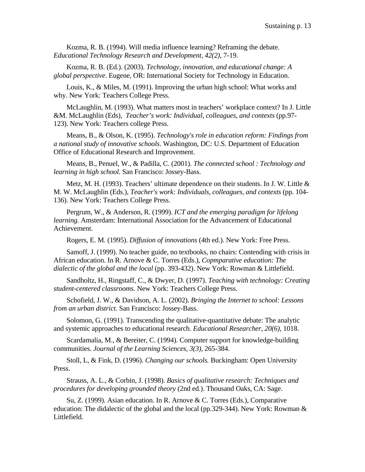Kozma, R. B. (1994). Will media influence learning? Reframing the debate. *Educational Technology Research and Development, 42(2),* 7-19.

Kozma, R. B. (Ed.). (2003). *Technology, innovation, and educational change: A global perspective*. Eugene, OR: International Society for Technology in Education.

Louis, K., & Miles, M. (1991). Improving the urban high school: What works and why. New York: Teachers College Press.

McLaughlin, M. (1993). What matters most in teachers' workplace context? In J. Little &M. McLaughlin (Eds), *Teacher's work: Individual, colleagues, and contexts* (pp.97- 123). New York: Teachers college Press.

Means, B., & Olson, K. (1995). *Technology's role in education reform: Findings from a national study of innovative schools*. Washington, DC: U.S. Department of Education Office of Educational Research and Improvement.

Means, B., Penuel, W., & Padilla, C. (2001). *The connected school : Technology and learning in high school.* San Francisco: Jossey-Bass.

Metz, M. H. (1993). Teachers' ultimate dependence on their students. In J. W. Little & M. W. McLaughlin (Eds.), *Teacher's work: Individuals, colleagues, and contexts* (pp. 104- 136). New York: Teachers College Press.

Pergrum, W., & Anderson, R. (1999). *ICT and the emerging paradigm for lifelong learning.* Amsterdam: International Association for the Advancement of Educational Achievement.

Rogers, E. M. (1995). *Diffusion of innovations* (4th ed.). New York: Free Press.

Samoff, J. (1999). No teacher guide, no textbooks, no chairs: Contending with crisis in African education. In R. Arnove & C. Torres (Eds.), *Copmparative education: The dialectic of the global and the local* (pp. 393-432). New York: Rowman & Littlefield.

Sandholtz, H., Ringstaff, C., & Dwyer, D. (1997). *Teaching with technology: Creating student-centered classrooms.* New York: Teachers College Press.

Schofield, J. W., & Davidson, A. L. (2002). *Bringing the Internet to school: Lessons from an urban district*. San Francisco: Jossey-Bass.

Solomon, G. (1991). Transcending the qualitative-quantitative debate: The analytic and systemic approaches to educational research. *Educational Researcher, 20(6),* 1018.

Scardamalia, M., & Bereiter, C. (1994). Computer support for knowledge-building communities. *Journal of the Learning Sciences, 3(3),* 265-384.

Stoll, L, & Fink, D. (1996). *Changing our schools.* Buckingham: Open University Press.

Strauss, A. L., & Corbin, J. (1998). *Basics of qualitative research: Techniques and procedures for developing grounded theory* (2nd ed.). Thousand Oaks, CA: Sage.

Su, Z. (1999). Asian education. In R. Arnove & C. Torres (Eds.), Comparative education: The didalectic of the global and the local (pp.329-344). New York: Rowman & Littlefield.